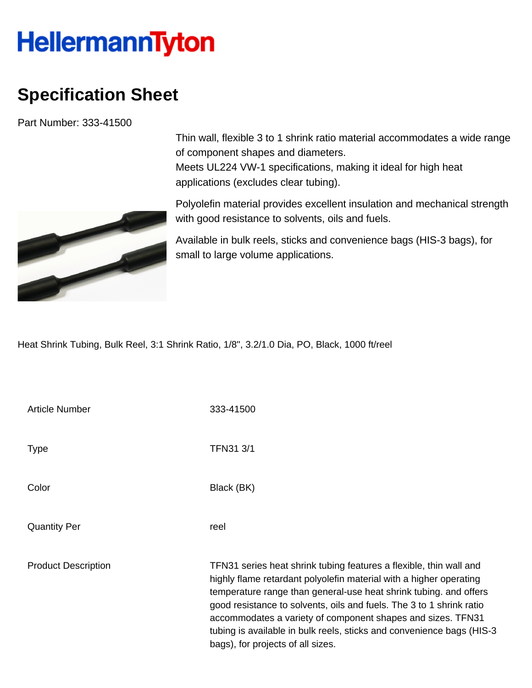## **HellermannTyton**

## **Specification Sheet**

Part Number: 333-41500



Thin wall, flexible 3 to 1 shrink ratio material accommodates a wide range of component shapes and diameters. Meets UL224 VW-1 specifications, making it ideal for high heat applications (excludes clear tubing).

Polyolefin material provides excellent insulation and mechanical strength with good resistance to solvents, oils and fuels.

Available in bulk reels, sticks and convenience bags (HIS-3 bags), for small to large volume applications.

Heat Shrink Tubing, Bulk Reel, 3:1 Shrink Ratio, 1/8", 3.2/1.0 Dia, PO, Black, 1000 ft/reel

| <b>Article Number</b>      | 333-41500                                                                                                                                                                                                                                                                                                                                                                                                                                                           |
|----------------------------|---------------------------------------------------------------------------------------------------------------------------------------------------------------------------------------------------------------------------------------------------------------------------------------------------------------------------------------------------------------------------------------------------------------------------------------------------------------------|
| <b>Type</b>                | <b>TFN31 3/1</b>                                                                                                                                                                                                                                                                                                                                                                                                                                                    |
| Color                      | Black (BK)                                                                                                                                                                                                                                                                                                                                                                                                                                                          |
| <b>Quantity Per</b>        | reel                                                                                                                                                                                                                                                                                                                                                                                                                                                                |
| <b>Product Description</b> | TFN31 series heat shrink tubing features a flexible, thin wall and<br>highly flame retardant polyolefin material with a higher operating<br>temperature range than general-use heat shrink tubing. and offers<br>good resistance to solvents, oils and fuels. The 3 to 1 shrink ratio<br>accommodates a variety of component shapes and sizes. TFN31<br>tubing is available in bulk reels, sticks and convenience bags (HIS-3)<br>bags), for projects of all sizes. |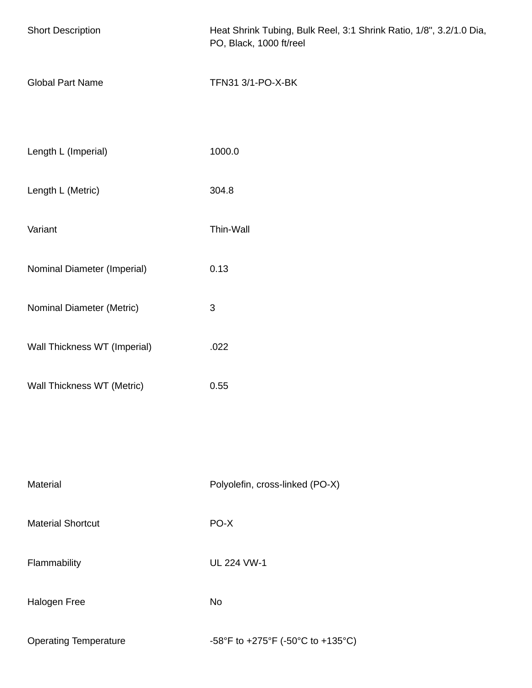| <b>Short Description</b>     | Heat Shrink Tubing, Bulk Reel, 3:1 Shrink Ratio, 1/8", 3.2/1.0 Dia,<br>PO, Black, 1000 ft/reel |
|------------------------------|------------------------------------------------------------------------------------------------|
| <b>Global Part Name</b>      | TFN31 3/1-PO-X-BK                                                                              |
| Length L (Imperial)          | 1000.0                                                                                         |
| Length L (Metric)            | 304.8                                                                                          |
| Variant                      | Thin-Wall                                                                                      |
| Nominal Diameter (Imperial)  | 0.13                                                                                           |
| Nominal Diameter (Metric)    | $\ensuremath{\mathsf{3}}$                                                                      |
| Wall Thickness WT (Imperial) | .022                                                                                           |
| Wall Thickness WT (Metric)   | 0.55                                                                                           |
|                              |                                                                                                |
| Material                     | Polyolefin, cross-linked (PO-X)                                                                |
| <b>Material Shortcut</b>     | PO-X                                                                                           |
| Flammability                 | <b>UL 224 VW-1</b>                                                                             |
| Halogen Free                 | <b>No</b>                                                                                      |
| <b>Operating Temperature</b> | -58°F to +275°F (-50°C to +135°C)                                                              |